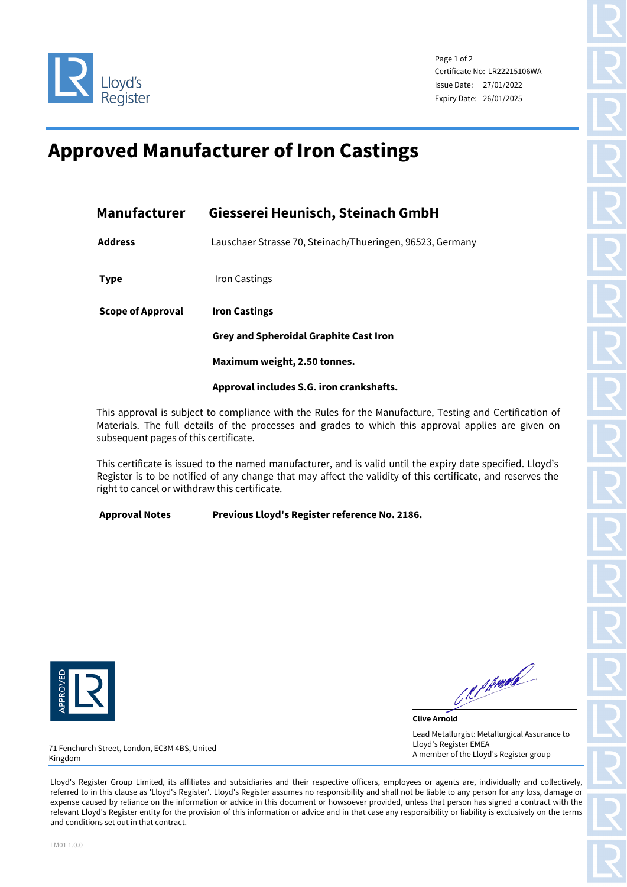

Page 1 of 2 Certificate No: LR22215106WA Issue Date: 27/01/2022 Expiry Date: 26/01/2025

## **Approved Manufacturer of Iron Castings**

| Manufacturer             | Giesserei Heunisch, Steinach GmbH                                     |  |  |
|--------------------------|-----------------------------------------------------------------------|--|--|
| <b>Address</b>           | Lauschaer Strasse 70, Steinach/Thueringen, 96523, Germany             |  |  |
| <b>Type</b>              | Iron Castings                                                         |  |  |
| <b>Scope of Approval</b> | <b>Iron Castings</b><br><b>Grey and Spheroidal Graphite Cast Iron</b> |  |  |
|                          |                                                                       |  |  |
|                          | Maximum weight, 2.50 tonnes.                                          |  |  |
|                          | Approval includes S.G. iron crankshafts.                              |  |  |

This approval is subject to compliance with the Rules for the Manufacture, Testing and Certification of Materials. The full details of the processes and grades to which this approval applies are given on subsequent pages of this certificate.

This certificate is issued to the named manufacturer, and is valid until the expiry date specified. Lloyd's Register is to be notified of any change that may affect the validity of this certificate, and reserves the right to cancel or withdraw this certificate.

**Approval Notes Previous Lloyd's Register reference No. 2186.**



Republic

**Clive Arnold** Lead Metallurgist: Metallurgical Assurance to Lloyd's Register EMEA A member of the Lloyd's Register group

71 Fenchurch Street, London, EC3M 4BS, United Kingdom

Lloyd's Register Group Limited, its affiliates and subsidiaries and their respective officers, employees or agents are, individually and collectively, referred to in this clause as 'Lloyd's Register'. Lloyd's Register assumes no responsibility and shall not be liable to any person for any loss, damage or expense caused by reliance on the information or advice in this document or howsoever provided, unless that person has signed a contract with the relevant Lloyd's Register entity for the provision of this information or advice and in that case any responsibility or liability is exclusively on the terms and conditions set out in that contract.